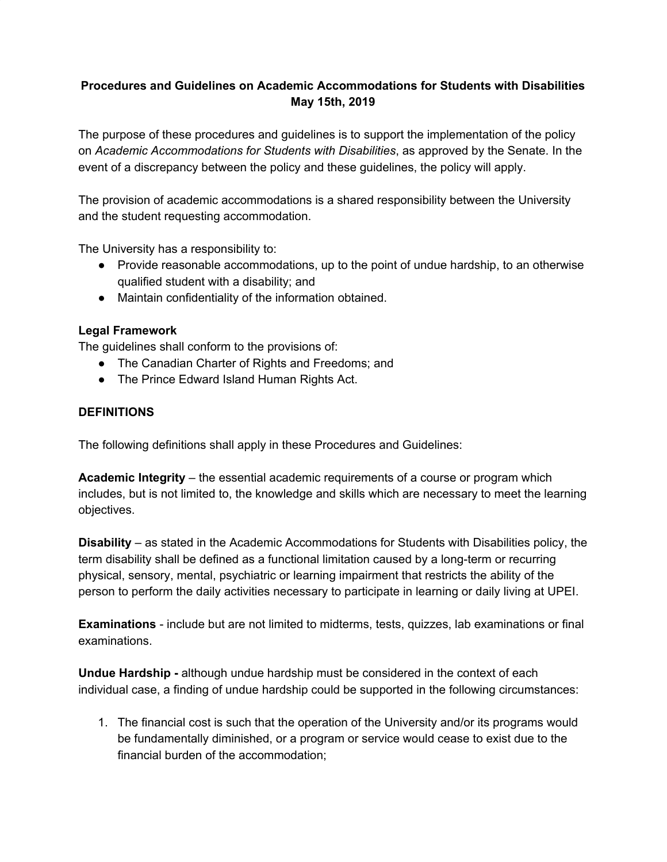## **Procedures and Guidelines on Academic Accommodations for Students with Disabilities May 15th, 2019**

The purpose of these procedures and guidelines is to support the implementation of the policy on *Academic Accommodations for Students with Disabilities*, as approved by the Senate. In the event of a discrepancy between the policy and these guidelines, the policy will apply.

The provision of academic accommodations is a shared responsibility between the University and the student requesting accommodation.

The University has a responsibility to:

- Provide reasonable accommodations, up to the point of undue hardship, to an otherwise qualified student with a disability; and
- Maintain confidentiality of the information obtained.

## **Legal Framework**

The guidelines shall conform to the provisions of:

- The Canadian Charter of Rights and Freedoms; and
- The Prince Edward Island Human Rights Act.

#### **DEFINITIONS**

The following definitions shall apply in these Procedures and Guidelines:

**Academic Integrity** – the essential academic requirements of a course or program which includes, but is not limited to, the knowledge and skills which are necessary to meet the learning objectives.

**Disability** – as stated in the Academic Accommodations for Students with Disabilities policy, the term disability shall be defined as a functional limitation caused by a long-term or recurring physical, sensory, mental, psychiatric or learning impairment that restricts the ability of the person to perform the daily activities necessary to participate in learning or daily living at UPEI.

**Examinations** - include but are not limited to midterms, tests, quizzes, lab examinations or final examinations.

**Undue Hardship -** although undue hardship must be considered in the context of each individual case, a finding of undue hardship could be supported in the following circumstances:

1. The financial cost is such that the operation of the University and/or its programs would be fundamentally diminished, or a program or service would cease to exist due to the financial burden of the accommodation;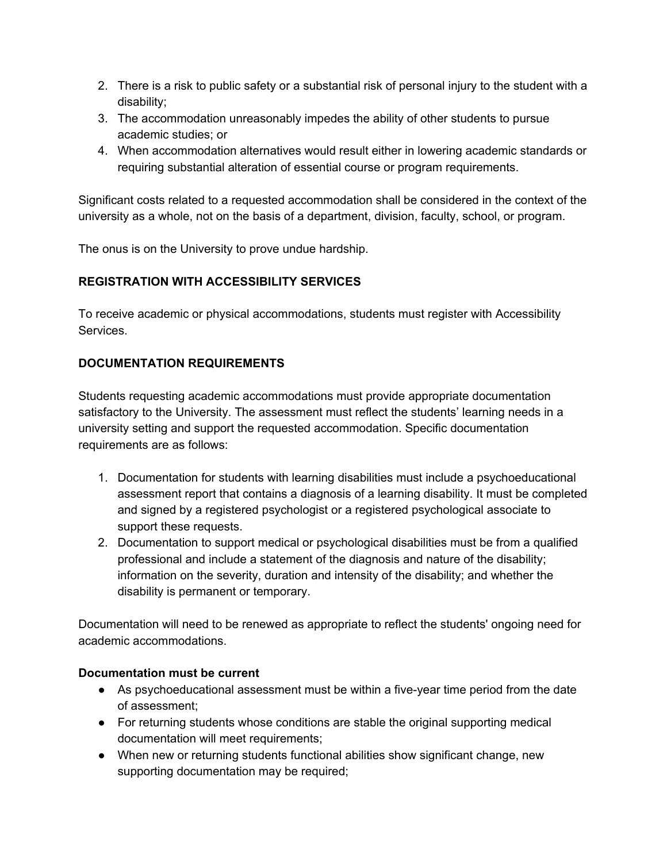- 2. There is a risk to public safety or a substantial risk of personal injury to the student with a disability;
- 3. The accommodation unreasonably impedes the ability of other students to pursue academic studies; or
- 4. When accommodation alternatives would result either in lowering academic standards or requiring substantial alteration of essential course or program requirements.

Significant costs related to a requested accommodation shall be considered in the context of the university as a whole, not on the basis of a department, division, faculty, school, or program.

The onus is on the University to prove undue hardship.

# **REGISTRATION WITH ACCESSIBILITY SERVICES**

To receive academic or physical accommodations, students must register with Accessibility Services.

# **DOCUMENTATION REQUIREMENTS**

Students requesting academic accommodations must provide appropriate documentation satisfactory to the University. The assessment must reflect the students' learning needs in a university setting and support the requested accommodation. Specific documentation requirements are as follows:

- 1. Documentation for students with learning disabilities must include a psychoeducational assessment report that contains a diagnosis of a learning disability. It must be completed and signed by a registered psychologist or a registered psychological associate to support these requests.
- 2. Documentation to support medical or psychological disabilities must be from a qualified professional and include a statement of the diagnosis and nature of the disability; information on the severity, duration and intensity of the disability; and whether the disability is permanent or temporary.

Documentation will need to be renewed as appropriate to reflect the students' ongoing need for academic accommodations.

## **Documentation must be current**

- As psychoeducational assessment must be within a five-year time period from the date of assessment;
- For returning students whose conditions are stable the original supporting medical documentation will meet requirements;
- When new or returning students functional abilities show significant change, new supporting documentation may be required;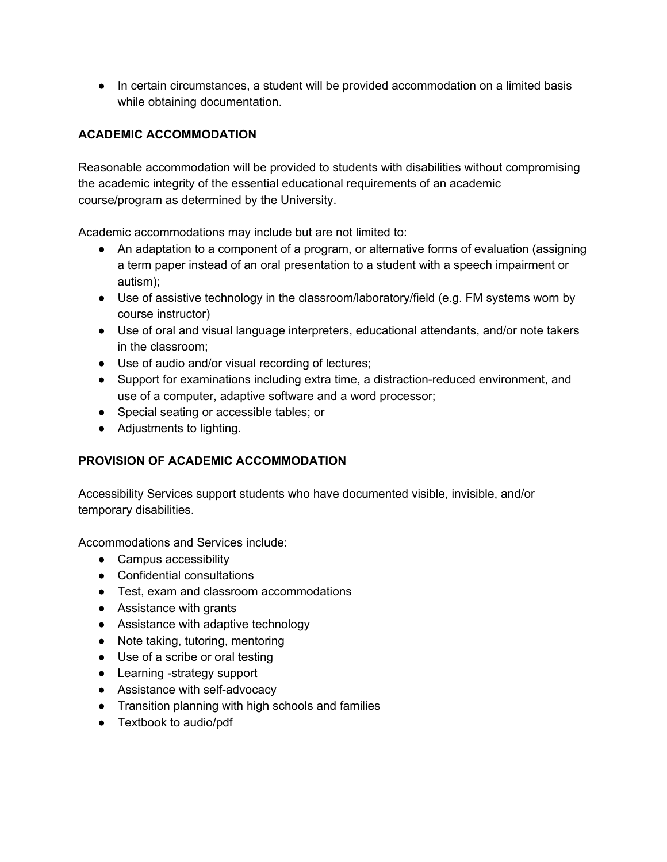● In certain circumstances, a student will be provided accommodation on a limited basis while obtaining documentation.

# **ACADEMIC ACCOMMODATION**

Reasonable accommodation will be provided to students with disabilities without compromising the academic integrity of the essential educational requirements of an academic course/program as determined by the University.

Academic accommodations may include but are not limited to:

- An adaptation to a component of a program, or alternative forms of evaluation (assigning a term paper instead of an oral presentation to a student with a speech impairment or autism);
- Use of assistive technology in the classroom/laboratory/field (e.g. FM systems worn by course instructor)
- Use of oral and visual language interpreters, educational attendants, and/or note takers in the classroom;
- Use of audio and/or visual recording of lectures;
- Support for examinations including extra time, a distraction-reduced environment, and use of a computer, adaptive software and a word processor;
- Special seating or accessible tables; or
- Adjustments to lighting.

# **PROVISION OF ACADEMIC ACCOMMODATION**

Accessibility Services support students who have documented visible, invisible, and/or temporary disabilities.

Accommodations and Services include:

- Campus accessibility
- Confidential consultations
- Test, exam and classroom accommodations
- Assistance with grants
- Assistance with adaptive technology
- Note taking, tutoring, mentoring
- Use of a scribe or oral testing
- Learning -strategy support
- Assistance with self-advocacy
- Transition planning with high schools and families
- Textbook to audio/pdf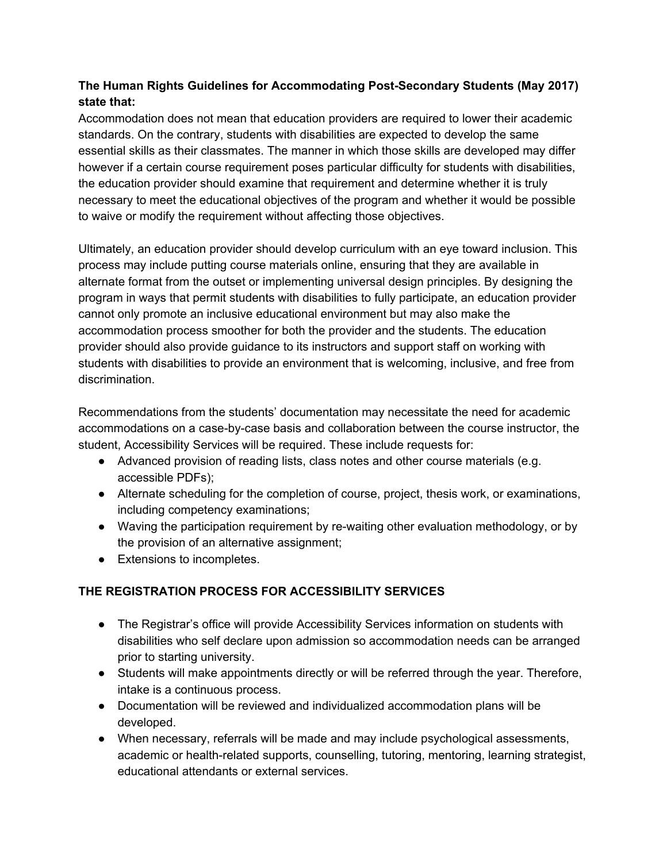# **The Human Rights Guidelines for Accommodating Post-Secondary Students (May 2017) state that:**

Accommodation does not mean that education providers are required to lower their academic standards. On the contrary, students with disabilities are expected to develop the same essential skills as their classmates. The manner in which those skills are developed may differ however if a certain course requirement poses particular difficulty for students with disabilities, the education provider should examine that requirement and determine whether it is truly necessary to meet the educational objectives of the program and whether it would be possible to waive or modify the requirement without affecting those objectives.

Ultimately, an education provider should develop curriculum with an eye toward inclusion. This process may include putting course materials online, ensuring that they are available in alternate format from the outset or implementing universal design principles. By designing the program in ways that permit students with disabilities to fully participate, an education provider cannot only promote an inclusive educational environment but may also make the accommodation process smoother for both the provider and the students. The education provider should also provide guidance to its instructors and support staff on working with students with disabilities to provide an environment that is welcoming, inclusive, and free from discrimination.

Recommendations from the students' documentation may necessitate the need for academic accommodations on a case-by-case basis and collaboration between the course instructor, the student, Accessibility Services will be required. These include requests for:

- Advanced provision of reading lists, class notes and other course materials (e.g. accessible PDFs);
- Alternate scheduling for the completion of course, project, thesis work, or examinations, including competency examinations;
- Waving the participation requirement by re-waiting other evaluation methodology, or by the provision of an alternative assignment;
- Extensions to incompletes.

# **THE REGISTRATION PROCESS FOR ACCESSIBILITY SERVICES**

- The Registrar's office will provide Accessibility Services information on students with disabilities who self declare upon admission so accommodation needs can be arranged prior to starting university.
- Students will make appointments directly or will be referred through the year. Therefore, intake is a continuous process.
- Documentation will be reviewed and individualized accommodation plans will be developed.
- When necessary, referrals will be made and may include psychological assessments, academic or health-related supports, counselling, tutoring, mentoring, learning strategist, educational attendants or external services.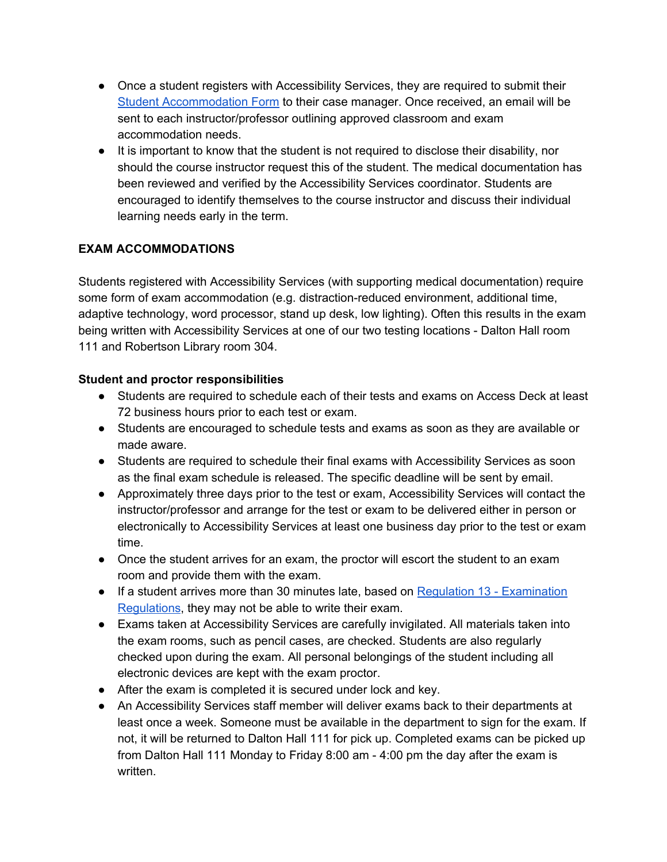- Once a student registers with Accessibility Services, they are required to submit their Student [Accommodation](https://portal.upei.ca/forms/_layouts/15/FormServer.aspx?XsnLocation=https://portal.upei.ca/forms/ExamAccommodations/Forms/template.xsn&SaveLocation=https%3A%2F%2Fportal%2Eupei%2Eca%2Fforms%2FExamAccommodations&ClientInstalled=false&DefaultItemOpen=1&Source=https%3A%2F%2Fportal%2Eupei%2Eca%2Fforms%2FExamAccommodations%2FForms%2FAllItems%2Easpx) Form to their case manager. Once received, an email will be sent to each instructor/professor outlining approved classroom and exam accommodation needs.
- It is important to know that the student is not required to disclose their disability, nor should the course instructor request this of the student. The medical documentation has been reviewed and verified by the Accessibility Services coordinator. Students are encouraged to identify themselves to the course instructor and discuss their individual learning needs early in the term.

# **EXAM ACCOMMODATIONS**

Students registered with Accessibility Services (with supporting medical documentation) require some form of exam accommodation (e.g. distraction-reduced environment, additional time, adaptive technology, word processor, stand up desk, low lighting). Often this results in the exam being written with Accessibility Services at one of our two testing locations - Dalton Hall room 111 and Robertson Library room 304.

#### **Student and proctor responsibilities**

- Students are required to schedule each of their tests and exams on Access Deck at least 72 business hours prior to each test or exam.
- Students are encouraged to schedule tests and exams as soon as they are available or made aware.
- Students are required to schedule their final exams with Accessibility Services as soon as the final exam schedule is released. The specific deadline will be sent by email.
- Approximately three days prior to the test or exam, Accessibility Services will contact the instructor/professor and arrange for the test or exam to be delivered either in person or electronically to Accessibility Services at least one business day prior to the test or exam time.
- Once the student arrives for an exam, the proctor will escort the student to an exam room and provide them with the exam.
- If a student arrives more than 30 minutes late, based on Regulation 13 [Examination](https://pressbooks.library.upei.ca/calendar/chapter/undergraduate-and-professional-programs-academic-regulations/) [Regulations](https://pressbooks.library.upei.ca/calendar/chapter/undergraduate-and-professional-programs-academic-regulations/), they may not be able to write their exam.
- Exams taken at Accessibility Services are carefully invigilated. All materials taken into the exam rooms, such as pencil cases, are checked. Students are also regularly checked upon during the exam. All personal belongings of the student including all electronic devices are kept with the exam proctor.
- After the exam is completed it is secured under lock and key.
- An Accessibility Services staff member will deliver exams back to their departments at least once a week. Someone must be available in the department to sign for the exam. If not, it will be returned to Dalton Hall 111 for pick up. Completed exams can be picked up from Dalton Hall 111 Monday to Friday 8:00 am - 4:00 pm the day after the exam is written.